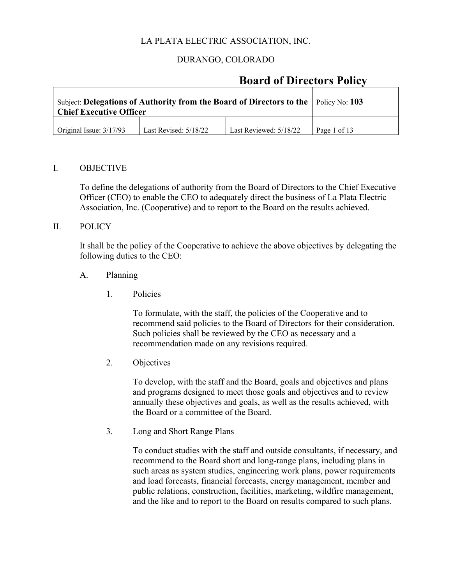## DURANGO, COLORADO

## **Board of Directors Policy**

| Subject: Delegations of Authority from the Board of Directors to the $\vert$ Policy No: 103<br><b>Chief Executive Officer</b> |              |  |  |
|-------------------------------------------------------------------------------------------------------------------------------|--------------|--|--|
| $\int$ Original Issue: $3/17/93$                                                                                              | Page 1 of 13 |  |  |

#### I. OBJECTIVE

To define the delegations of authority from the Board of Directors to the Chief Executive Officer (CEO) to enable the CEO to adequately direct the business of La Plata Electric Association, Inc. (Cooperative) and to report to the Board on the results achieved.

### II. POLICY

It shall be the policy of the Cooperative to achieve the above objectives by delegating the following duties to the CEO:

#### A. Planning

1. Policies

To formulate, with the staff, the policies of the Cooperative and to recommend said policies to the Board of Directors for their consideration. Such policies shall be reviewed by the CEO as necessary and a recommendation made on any revisions required.

2. Objectives

To develop, with the staff and the Board, goals and objectives and plans and programs designed to meet those goals and objectives and to review annually these objectives and goals, as well as the results achieved, with the Board or a committee of the Board.

3. Long and Short Range Plans

To conduct studies with the staff and outside consultants, if necessary, and recommend to the Board short and long-range plans, including plans in such areas as system studies, engineering work plans, power requirements and load forecasts, financial forecasts, energy management, member and public relations, construction, facilities, marketing, wildfire management, and the like and to report to the Board on results compared to such plans.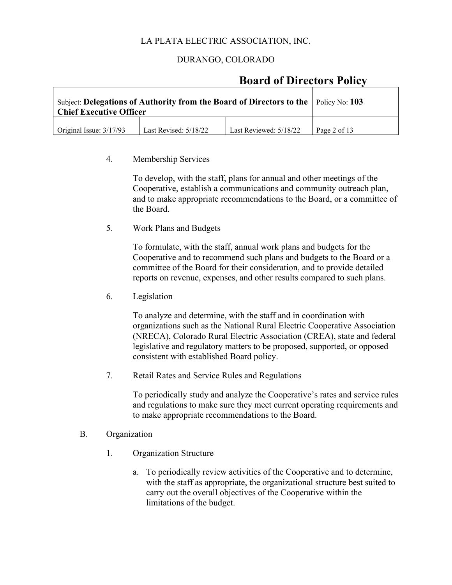## DURANGO, COLORADO

## **Board of Directors Policy**

| Subject: Delegations of Authority from the Board of Directors to the $\vert$ Policy No: 103<br><b>Chief Executive Officer</b> |              |  |  |
|-------------------------------------------------------------------------------------------------------------------------------|--------------|--|--|
| Original Issue: $3/17/93$                                                                                                     | Page 2 of 13 |  |  |

#### 4. Membership Services

To develop, with the staff, plans for annual and other meetings of the Cooperative, establish a communications and community outreach plan, and to make appropriate recommendations to the Board, or a committee of the Board.

5. Work Plans and Budgets

To formulate, with the staff, annual work plans and budgets for the Cooperative and to recommend such plans and budgets to the Board or a committee of the Board for their consideration, and to provide detailed reports on revenue, expenses, and other results compared to such plans.

6. Legislation

To analyze and determine, with the staff and in coordination with organizations such as the National Rural Electric Cooperative Association (NRECA), Colorado Rural Electric Association (CREA), state and federal legislative and regulatory matters to be proposed, supported, or opposed consistent with established Board policy.

7. Retail Rates and Service Rules and Regulations

To periodically study and analyze the Cooperative's rates and service rules and regulations to make sure they meet current operating requirements and to make appropriate recommendations to the Board.

#### B. Organization

- 1. Organization Structure
	- a. To periodically review activities of the Cooperative and to determine, with the staff as appropriate, the organizational structure best suited to carry out the overall objectives of the Cooperative within the limitations of the budget.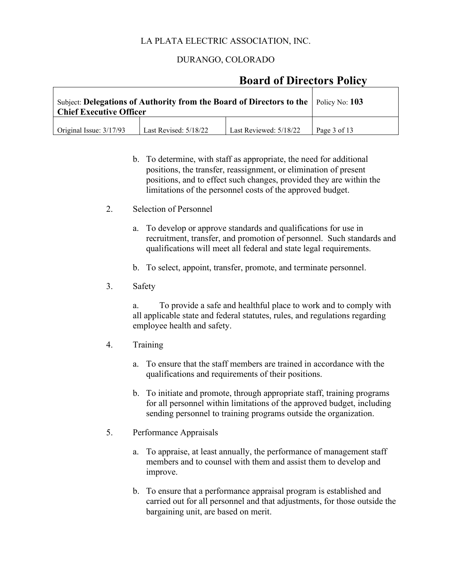## DURANGO, COLORADO

## **Board of Directors Policy**

| Subject: Delegations of Authority from the Board of Directors to the $\vert$ Policy No: 103<br><b>Chief Executive Officer</b> |              |  |  |
|-------------------------------------------------------------------------------------------------------------------------------|--------------|--|--|
| Original Issue: 3/17/93                                                                                                       | Page 3 of 13 |  |  |

- b. To determine, with staff as appropriate, the need for additional positions, the transfer, reassignment, or elimination of present positions, and to effect such changes, provided they are within the limitations of the personnel costs of the approved budget.
- 2. Selection of Personnel
	- a. To develop or approve standards and qualifications for use in recruitment, transfer, and promotion of personnel. Such standards and qualifications will meet all federal and state legal requirements.
	- b. To select, appoint, transfer, promote, and terminate personnel.
- 3. Safety

a. To provide a safe and healthful place to work and to comply with all applicable state and federal statutes, rules, and regulations regarding employee health and safety.

- 4. Training
	- a. To ensure that the staff members are trained in accordance with the qualifications and requirements of their positions.
	- b. To initiate and promote, through appropriate staff, training programs for all personnel within limitations of the approved budget, including sending personnel to training programs outside the organization.
- 5. Performance Appraisals
	- a. To appraise, at least annually, the performance of management staff members and to counsel with them and assist them to develop and improve.
	- b. To ensure that a performance appraisal program is established and carried out for all personnel and that adjustments, for those outside the bargaining unit, are based on merit.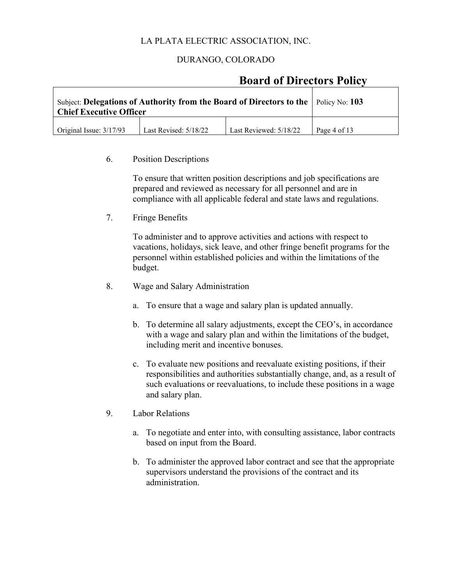## DURANGO, COLORADO

## **Board of Directors Policy**

| Subject: Delegations of Authority from the Board of Directors to the $\vert$ Policy No: 103<br><b>Chief Executive Officer</b> |              |  |  |
|-------------------------------------------------------------------------------------------------------------------------------|--------------|--|--|
| Original Issue: 3/17/93                                                                                                       | Page 4 of 13 |  |  |

#### 6. Position Descriptions

To ensure that written position descriptions and job specifications are prepared and reviewed as necessary for all personnel and are in compliance with all applicable federal and state laws and regulations.

7. Fringe Benefits

To administer and to approve activities and actions with respect to vacations, holidays, sick leave, and other fringe benefit programs for the personnel within established policies and within the limitations of the budget.

- 8. Wage and Salary Administration
	- a. To ensure that a wage and salary plan is updated annually.
	- b. To determine all salary adjustments, except the CEO's, in accordance with a wage and salary plan and within the limitations of the budget, including merit and incentive bonuses.
	- c. To evaluate new positions and reevaluate existing positions, if their responsibilities and authorities substantially change, and, as a result of such evaluations or reevaluations, to include these positions in a wage and salary plan.
- 9. Labor Relations
	- a. To negotiate and enter into, with consulting assistance, labor contracts based on input from the Board.
	- b. To administer the approved labor contract and see that the appropriate supervisors understand the provisions of the contract and its administration.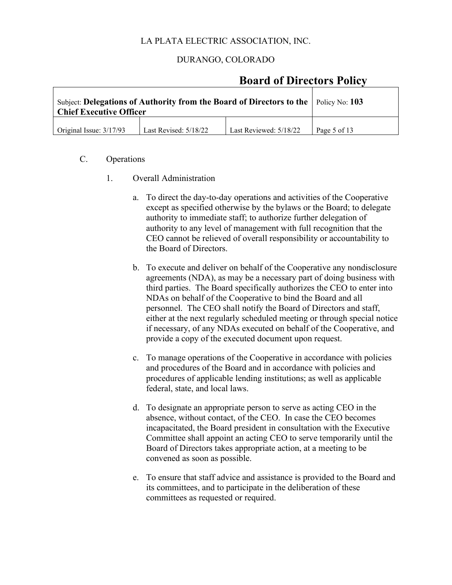### DURANGO, COLORADO

## **Board of Directors Policy**

| Subject: Delegations of Authority from the Board of Directors to the $\vert$ Policy No: 103<br><b>Chief Executive Officer</b> |              |  |  |
|-------------------------------------------------------------------------------------------------------------------------------|--------------|--|--|
| Original Issue: $3/17/93$                                                                                                     | Page 5 of 13 |  |  |

- C. Operations
	- 1. Overall Administration
		- a. To direct the day-to-day operations and activities of the Cooperative except as specified otherwise by the bylaws or the Board; to delegate authority to immediate staff; to authorize further delegation of authority to any level of management with full recognition that the CEO cannot be relieved of overall responsibility or accountability to the Board of Directors.
		- b. To execute and deliver on behalf of the Cooperative any nondisclosure agreements (NDA), as may be a necessary part of doing business with third parties. The Board specifically authorizes the CEO to enter into NDAs on behalf of the Cooperative to bind the Board and all personnel. The CEO shall notify the Board of Directors and staff, either at the next regularly scheduled meeting or through special notice if necessary, of any NDAs executed on behalf of the Cooperative, and provide a copy of the executed document upon request.
		- c. To manage operations of the Cooperative in accordance with policies and procedures of the Board and in accordance with policies and procedures of applicable lending institutions; as well as applicable federal, state, and local laws.
		- d. To designate an appropriate person to serve as acting CEO in the absence, without contact, of the CEO. In case the CEO becomes incapacitated, the Board president in consultation with the Executive Committee shall appoint an acting CEO to serve temporarily until the Board of Directors takes appropriate action, at a meeting to be convened as soon as possible.
		- e. To ensure that staff advice and assistance is provided to the Board and its committees, and to participate in the deliberation of these committees as requested or required.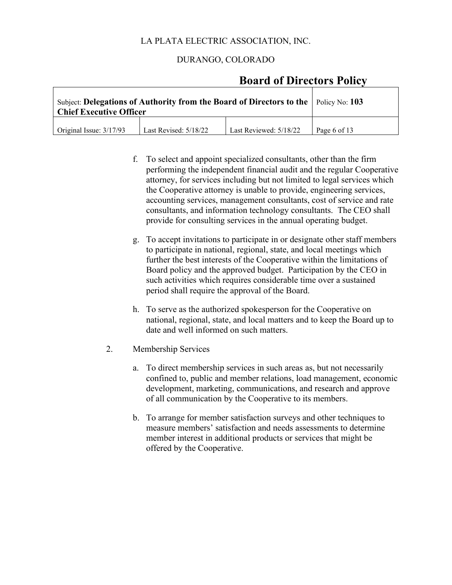## DURANGO, COLORADO

## **Board of Directors Policy**

| Subject: Delegations of Authority from the Board of Directors to the $\vert$ Policy No: 103<br><b>Chief Executive Officer</b> |              |  |  |
|-------------------------------------------------------------------------------------------------------------------------------|--------------|--|--|
| Original Issue: $3/17/93$                                                                                                     | Page 6 of 13 |  |  |

- f. To select and appoint specialized consultants, other than the firm performing the independent financial audit and the regular Cooperative attorney, for services including but not limited to legal services which the Cooperative attorney is unable to provide, engineering services, accounting services, management consultants, cost of service and rate consultants, and information technology consultants. The CEO shall provide for consulting services in the annual operating budget.
- g. To accept invitations to participate in or designate other staff members to participate in national, regional, state, and local meetings which further the best interests of the Cooperative within the limitations of Board policy and the approved budget. Participation by the CEO in such activities which requires considerable time over a sustained period shall require the approval of the Board.
- h. To serve as the authorized spokesperson for the Cooperative on national, regional, state, and local matters and to keep the Board up to date and well informed on such matters.
- 2. Membership Services
	- a. To direct membership services in such areas as, but not necessarily confined to, public and member relations, load management, economic development, marketing, communications, and research and approve of all communication by the Cooperative to its members.
	- b. To arrange for member satisfaction surveys and other techniques to measure members' satisfaction and needs assessments to determine member interest in additional products or services that might be offered by the Cooperative.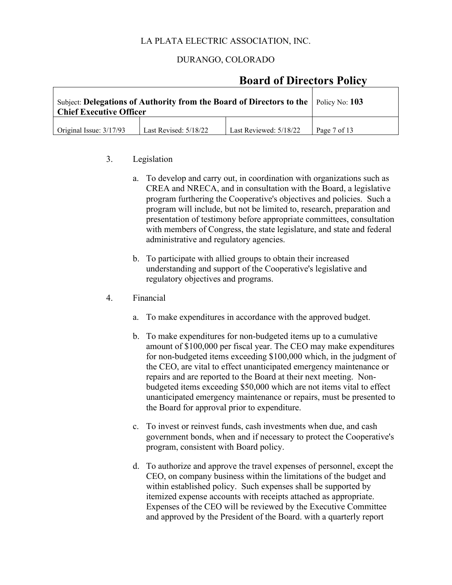### DURANGO, COLORADO

## **Board of Directors Policy**

| Subject: Delegations of Authority from the Board of Directors to the $\vert$ Policy No: 103<br><b>Chief Executive Officer</b> |                         |                        |              |
|-------------------------------------------------------------------------------------------------------------------------------|-------------------------|------------------------|--------------|
| Original Issue: $3/17/93$                                                                                                     | Last Revised: $5/18/22$ | Last Reviewed: 5/18/22 | Page 7 of 13 |

#### 3. Legislation

- a. To develop and carry out, in coordination with organizations such as CREA and NRECA, and in consultation with the Board, a legislative program furthering the Cooperative's objectives and policies. Such a program will include, but not be limited to, research, preparation and presentation of testimony before appropriate committees, consultation with members of Congress, the state legislature, and state and federal administrative and regulatory agencies.
- b. To participate with allied groups to obtain their increased understanding and support of the Cooperative's legislative and regulatory objectives and programs.
- 4. Financial
	- a. To make expenditures in accordance with the approved budget.
	- b. To make expenditures for non-budgeted items up to a cumulative amount of \$100,000 per fiscal year. The CEO may make expenditures for non-budgeted items exceeding \$100,000 which, in the judgment of the CEO, are vital to effect unanticipated emergency maintenance or repairs and are reported to the Board at their next meeting. Nonbudgeted items exceeding \$50,000 which are not items vital to effect unanticipated emergency maintenance or repairs, must be presented to the Board for approval prior to expenditure.
	- c. To invest or reinvest funds, cash investments when due, and cash government bonds, when and if necessary to protect the Cooperative's program, consistent with Board policy.
	- d. To authorize and approve the travel expenses of personnel, except the CEO, on company business within the limitations of the budget and within established policy. Such expenses shall be supported by itemized expense accounts with receipts attached as appropriate. Expenses of the CEO will be reviewed by the Executive Committee and approved by the President of the Board. with a quarterly report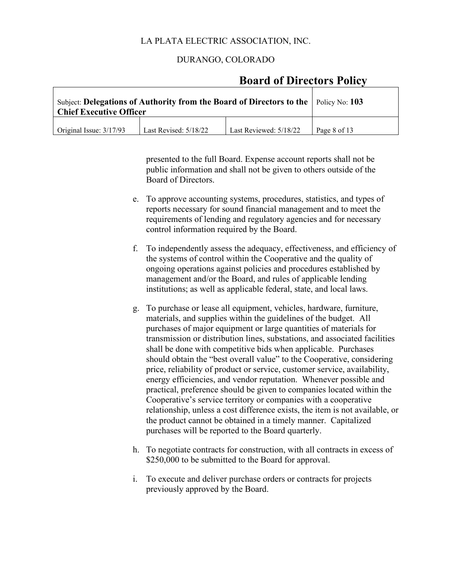### DURANGO, COLORADO

| Subject: Delegations of Authority from the Board of Directors to the $\vert$ Policy No: 103<br><b>Chief Executive Officer</b> |                       |                        |              |
|-------------------------------------------------------------------------------------------------------------------------------|-----------------------|------------------------|--------------|
| Original Issue: 3/17/93                                                                                                       | Last Revised: 5/18/22 | Last Reviewed: 5/18/22 | Page 8 of 13 |

## **Board of Directors Policy**

presented to the full Board. Expense account reports shall not be public information and shall not be given to others outside of the Board of Directors.

- e. To approve accounting systems, procedures, statistics, and types of reports necessary for sound financial management and to meet the requirements of lending and regulatory agencies and for necessary control information required by the Board.
- f. To independently assess the adequacy, effectiveness, and efficiency of the systems of control within the Cooperative and the quality of ongoing operations against policies and procedures established by management and/or the Board, and rules of applicable lending institutions; as well as applicable federal, state, and local laws.
- g. To purchase or lease all equipment, vehicles, hardware, furniture, materials, and supplies within the guidelines of the budget. All purchases of major equipment or large quantities of materials for transmission or distribution lines, substations, and associated facilities shall be done with competitive bids when applicable. Purchases should obtain the "best overall value" to the Cooperative, considering price, reliability of product or service, customer service, availability, energy efficiencies, and vendor reputation. Whenever possible and practical, preference should be given to companies located within the Cooperative's service territory or companies with a cooperative relationship, unless a cost difference exists, the item is not available, or the product cannot be obtained in a timely manner. Capitalized purchases will be reported to the Board quarterly.
- h. To negotiate contracts for construction, with all contracts in excess of \$250,000 to be submitted to the Board for approval.
- i. To execute and deliver purchase orders or contracts for projects previously approved by the Board.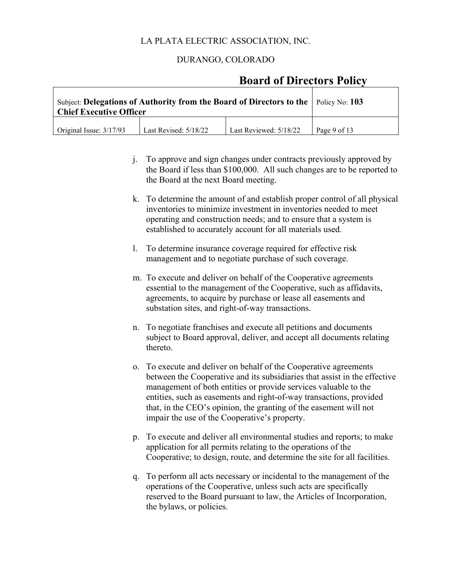### DURANGO, COLORADO

## **Board of Directors Policy**

| Subject: Delegations of Authority from the Board of Directors to the $\vert$ Policy No: 103<br><b>Chief Executive Officer</b> |              |  |  |
|-------------------------------------------------------------------------------------------------------------------------------|--------------|--|--|
| $\int$ Original Issue: $3/17/93$                                                                                              | Page 9 of 13 |  |  |

- j. To approve and sign changes under contracts previously approved by the Board if less than \$100,000. All such changes are to be reported to the Board at the next Board meeting.
- k. To determine the amount of and establish proper control of all physical inventories to minimize investment in inventories needed to meet operating and construction needs; and to ensure that a system is established to accurately account for all materials used.
- l. To determine insurance coverage required for effective risk management and to negotiate purchase of such coverage.
- m. To execute and deliver on behalf of the Cooperative agreements essential to the management of the Cooperative, such as affidavits, agreements, to acquire by purchase or lease all easements and substation sites, and right-of-way transactions.
- n. To negotiate franchises and execute all petitions and documents subject to Board approval, deliver, and accept all documents relating thereto.
- o. To execute and deliver on behalf of the Cooperative agreements between the Cooperative and its subsidiaries that assist in the effective management of both entities or provide services valuable to the entities, such as easements and right-of-way transactions, provided that, in the CEO's opinion, the granting of the easement will not impair the use of the Cooperative's property.
- p. To execute and deliver all environmental studies and reports; to make application for all permits relating to the operations of the Cooperative; to design, route, and determine the site for all facilities.
- q. To perform all acts necessary or incidental to the management of the operations of the Cooperative, unless such acts are specifically reserved to the Board pursuant to law, the Articles of Incorporation, the bylaws, or policies.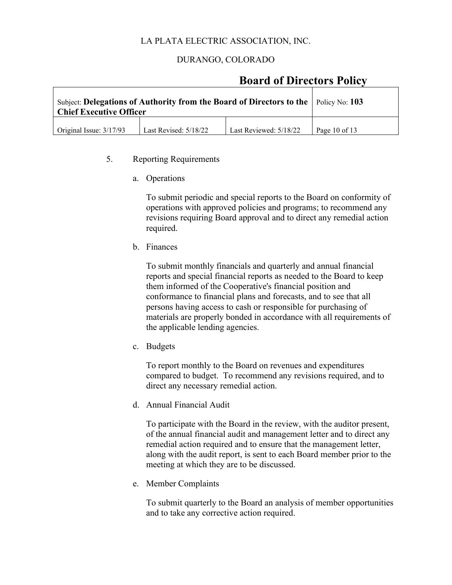### DURANGO, COLORADO

## **Board of Directors Policy**

| Subject: Delegations of Authority from the Board of Directors to the $\vert$ Policy No: 103<br><b>Chief Executive Officer</b> |                   |  |  |
|-------------------------------------------------------------------------------------------------------------------------------|-------------------|--|--|
| $\int$ Original Issue: $3/17/93$                                                                                              | Page $10$ of $13$ |  |  |

#### 5. Reporting Requirements

a. Operations

To submit periodic and special reports to the Board on conformity of operations with approved policies and programs; to recommend any revisions requiring Board approval and to direct any remedial action required.

b. Finances

To submit monthly financials and quarterly and annual financial reports and special financial reports as needed to the Board to keep them informed of the Cooperative's financial position and conformance to financial plans and forecasts, and to see that all persons having access to cash or responsible for purchasing of materials are properly bonded in accordance with all requirements of the applicable lending agencies.

c. Budgets

To report monthly to the Board on revenues and expenditures compared to budget. To recommend any revisions required, and to direct any necessary remedial action.

d. Annual Financial Audit

To participate with the Board in the review, with the auditor present, of the annual financial audit and management letter and to direct any remedial action required and to ensure that the management letter, along with the audit report, is sent to each Board member prior to the meeting at which they are to be discussed.

e. Member Complaints

To submit quarterly to the Board an analysis of member opportunities and to take any corrective action required.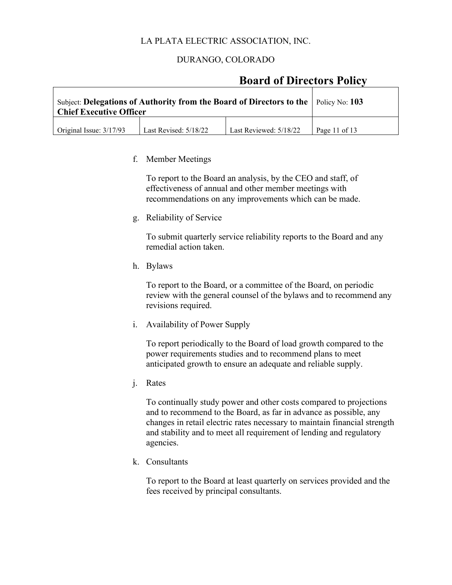### DURANGO, COLORADO

## **Board of Directors Policy**

| Subject: Delegations of Authority from the Board of Directors to the $\vert$ Policy No: 103<br><b>Chief Executive Officer</b> |                         |                        |                 |
|-------------------------------------------------------------------------------------------------------------------------------|-------------------------|------------------------|-----------------|
| Original Issue: 3/17/93                                                                                                       | Last Revised: $5/18/22$ | Last Reviewed: 5/18/22 | Page 11 of $13$ |

#### f. Member Meetings

To report to the Board an analysis, by the CEO and staff, of effectiveness of annual and other member meetings with recommendations on any improvements which can be made.

g. Reliability of Service

To submit quarterly service reliability reports to the Board and any remedial action taken.

h. Bylaws

To report to the Board, or a committee of the Board, on periodic review with the general counsel of the bylaws and to recommend any revisions required.

i. Availability of Power Supply

To report periodically to the Board of load growth compared to the power requirements studies and to recommend plans to meet anticipated growth to ensure an adequate and reliable supply.

j. Rates

To continually study power and other costs compared to projections and to recommend to the Board, as far in advance as possible, any changes in retail electric rates necessary to maintain financial strength and stability and to meet all requirement of lending and regulatory agencies.

k. Consultants

To report to the Board at least quarterly on services provided and the fees received by principal consultants.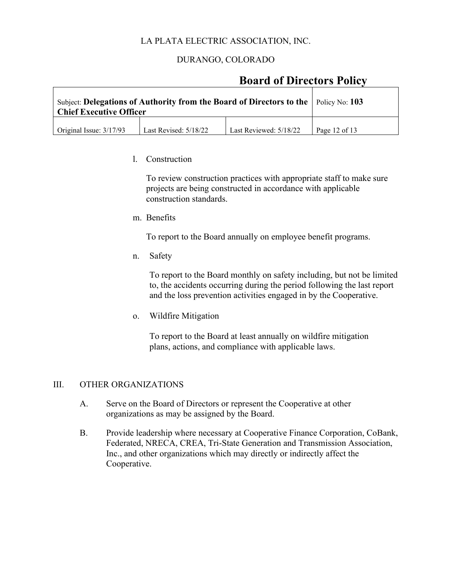## DURANGO, COLORADO

## **Board of Directors Policy**

| Subject: Delegations of Authority from the Board of Directors to the $\vert$ Policy No: 103<br><b>Chief Executive Officer</b> |                   |  |  |
|-------------------------------------------------------------------------------------------------------------------------------|-------------------|--|--|
| Original Issue: $3/17/93$                                                                                                     | Page $12$ of $13$ |  |  |

#### l. Construction

To review construction practices with appropriate staff to make sure projects are being constructed in accordance with applicable construction standards.

m. Benefits

To report to the Board annually on employee benefit programs.

n. Safety

To report to the Board monthly on safety including, but not be limited to, the accidents occurring during the period following the last report and the loss prevention activities engaged in by the Cooperative.

o. Wildfire Mitigation

 To report to the Board at least annually on wildfire mitigation plans, actions, and compliance with applicable laws.

#### III. OTHER ORGANIZATIONS

- A. Serve on the Board of Directors or represent the Cooperative at other organizations as may be assigned by the Board.
- B. Provide leadership where necessary at Cooperative Finance Corporation, CoBank, Federated, NRECA, CREA, Tri-State Generation and Transmission Association, Inc., and other organizations which may directly or indirectly affect the Cooperative.